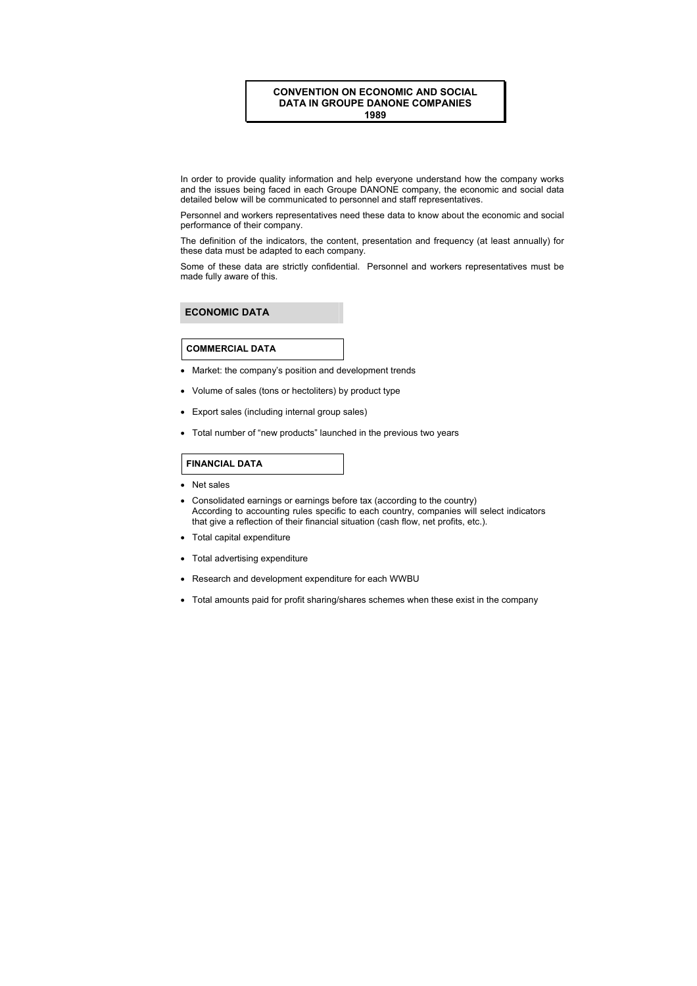## **CONVENTION ON ECONOMIC AND SOCIAL DATA IN GROUPE DANONE COMPANIES 1989**

In order to provide quality information and help everyone understand how the company works and the issues being faced in each Groupe DANONE company, the economic and social data detailed below will be communicated to personnel and staff representatives.

Personnel and workers representatives need these data to know about the economic and social performance of their company.

The definition of the indicators, the content, presentation and frequency (at least annually) for these data must be adapted to each company.

Some of these data are strictly confidential. Personnel and workers representatives must be made fully aware of this.

# **ECONOMIC DATA**

#### **COMMERCIAL DATA**

- Market: the company's position and development trends
- Volume of sales (tons or hectoliters) by product type
- Export sales (including internal group sales)
- Total number of "new products" launched in the previous two years

#### **FINANCIAL DATA**

- Net sales
- Consolidated earnings or earnings before tax (according to the country) According to accounting rules specific to each country, companies will select indicators that give a reflection of their financial situation (cash flow, net profits, etc.).
- Total capital expenditure
- Total advertising expenditure
- Research and development expenditure for each WWBU
- Total amounts paid for profit sharing/shares schemes when these exist in the company